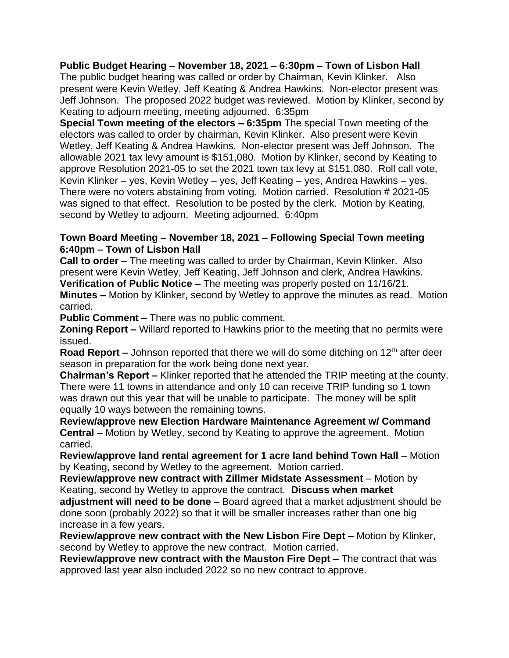## **Public Budget Hearing – November 18, 2021 – 6:30pm – Town of Lisbon Hall**

The public budget hearing was called or order by Chairman, Kevin Klinker. Also present were Kevin Wetley, Jeff Keating & Andrea Hawkins. Non-elector present was Jeff Johnson. The proposed 2022 budget was reviewed. Motion by Klinker, second by Keating to adjourn meeting, meeting adjourned. 6:35pm

**Special Town meeting of the electors – 6:35pm** The special Town meeting of the electors was called to order by chairman, Kevin Klinker. Also present were Kevin Wetley, Jeff Keating & Andrea Hawkins. Non-elector present was Jeff Johnson. The allowable 2021 tax levy amount is \$151,080. Motion by Klinker, second by Keating to approve Resolution 2021-05 to set the 2021 town tax levy at \$151,080. Roll call vote, Kevin Klinker – yes, Kevin Wetley – yes, Jeff Keating – yes, Andrea Hawkins – yes. There were no voters abstaining from voting. Motion carried. Resolution # 2021-05 was signed to that effect. Resolution to be posted by the clerk. Motion by Keating, second by Wetley to adjourn. Meeting adjourned. 6:40pm

## **Town Board Meeting – November 18, 2021 – Following Special Town meeting 6:40pm – Town of Lisbon Hall**

**Call to order –** The meeting was called to order by Chairman, Kevin Klinker. Also present were Kevin Wetley, Jeff Keating, Jeff Johnson and clerk, Andrea Hawkins. **Verification of Public Notice –** The meeting was properly posted on 11/16/21.

**Minutes –** Motion by Klinker, second by Wetley to approve the minutes as read. Motion carried.

**Public Comment –** There was no public comment.

**Zoning Report –** Willard reported to Hawkins prior to the meeting that no permits were issued.

**Road Report** – Johnson reported that there we will do some ditching on 12<sup>th</sup> after deer season in preparation for the work being done next year.

**Chairman's Report –** Klinker reported that he attended the TRIP meeting at the county. There were 11 towns in attendance and only 10 can receive TRIP funding so 1 town was drawn out this year that will be unable to participate. The money will be split equally 10 ways between the remaining towns.

**Review/approve new Election Hardware Maintenance Agreement w/ Command Central** – Motion by Wetley, second by Keating to approve the agreement. Motion carried.

**Review/approve land rental agreement for 1 acre land behind Town Hall** – Motion by Keating, second by Wetley to the agreement. Motion carried.

**Review/approve new contract with Zillmer Midstate Assessment** – Motion by Keating, second by Wetley to approve the contract. **Discuss when market adjustment will need to be done** – Board agreed that a market adjustment should be done soon (probably 2022) so that it will be smaller increases rather than one big increase in a few years.

**Review/approve new contract with the New Lisbon Fire Dept –** Motion by Klinker, second by Wetley to approve the new contract. Motion carried.

**Review/approve new contract with the Mauston Fire Dept –** The contract that was approved last year also included 2022 so no new contract to approve.